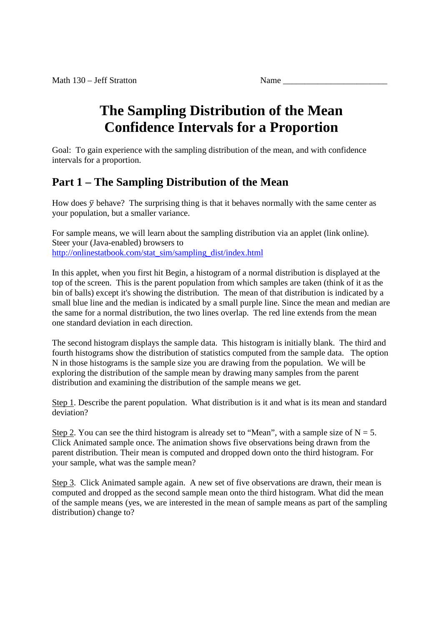# **The Sampling Distribution of the Mean Confidence Intervals for a Proportion**

Goal: To gain experience with the sampling distribution of the mean, and with confidence intervals for a proportion.

# **Part 1 – The Sampling Distribution of the Mean**

How does  $\bar{y}$  behave? The surprising thing is that it behaves normally with the same center as your population, but a smaller variance.

For sample means, we will learn about the sampling distribution via an applet (link online). Steer your (Java-enabled) browsers to http://onlinestatbook.com/stat\_sim/sampling\_dist/index.html

In this applet, when you first hit Begin, a histogram of a normal distribution is displayed at the top of the screen. This is the parent population from which samples are taken (think of it as the bin of balls) except it's showing the distribution. The mean of that distribution is indicated by a small blue line and the median is indicated by a small purple line. Since the mean and median are the same for a normal distribution, the two lines overlap. The red line extends from the mean one standard deviation in each direction.

The second histogram displays the sample data. This histogram is initially blank. The third and fourth histograms show the distribution of statistics computed from the sample data. The option N in those histograms is the sample size you are drawing from the population. We will be exploring the distribution of the sample mean by drawing many samples from the parent distribution and examining the distribution of the sample means we get.

Step 1. Describe the parent population. What distribution is it and what is its mean and standard deviation?

Step 2. You can see the third histogram is already set to "Mean", with a sample size of  $N = 5$ . Click Animated sample once. The animation shows five observations being drawn from the parent distribution. Their mean is computed and dropped down onto the third histogram. For your sample, what was the sample mean?

Step 3. Click Animated sample again. A new set of five observations are drawn, their mean is computed and dropped as the second sample mean onto the third histogram. What did the mean of the sample means (yes, we are interested in the mean of sample means as part of the sampling distribution) change to?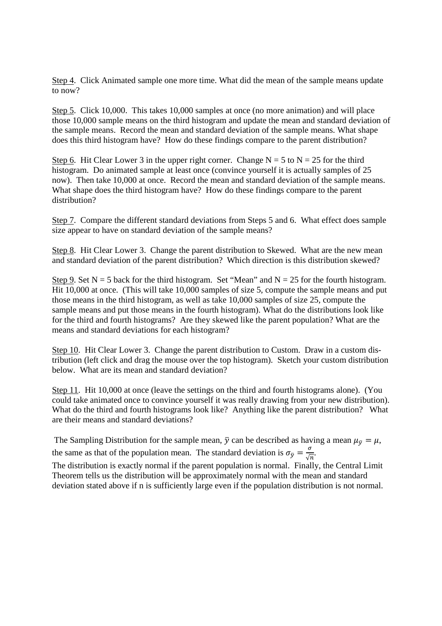Step 4. Click Animated sample one more time. What did the mean of the sample means update to now?

Step 5. Click 10,000. This takes 10,000 samples at once (no more animation) and will place those 10,000 sample means on the third histogram and update the mean and standard deviation of the sample means. Record the mean and standard deviation of the sample means. What shape does this third histogram have? How do these findings compare to the parent distribution?

Step 6. Hit Clear Lower 3 in the upper right corner. Change  $N = 5$  to  $N = 25$  for the third histogram. Do animated sample at least once (convince yourself it is actually samples of 25 now). Then take 10,000 at once. Record the mean and standard deviation of the sample means. What shape does the third histogram have? How do these findings compare to the parent distribution?

Step 7. Compare the different standard deviations from Steps 5 and 6. What effect does sample size appear to have on standard deviation of the sample means?

Step 8. Hit Clear Lower 3. Change the parent distribution to Skewed. What are the new mean and standard deviation of the parent distribution? Which direction is this distribution skewed?

Step 9. Set  $N = 5$  back for the third histogram. Set "Mean" and  $N = 25$  for the fourth histogram. Hit 10,000 at once. (This will take 10,000 samples of size 5, compute the sample means and put those means in the third histogram, as well as take 10,000 samples of size 25, compute the sample means and put those means in the fourth histogram). What do the distributions look like for the third and fourth histograms? Are they skewed like the parent population? What are the means and standard deviations for each histogram?

Step 10. Hit Clear Lower 3. Change the parent distribution to Custom. Draw in a custom distribution (left click and drag the mouse over the top histogram). Sketch your custom distribution below. What are its mean and standard deviation?

Step 11. Hit 10,000 at once (leave the settings on the third and fourth histograms alone). (You could take animated once to convince yourself it was really drawing from your new distribution). What do the third and fourth histograms look like? Anything like the parent distribution? What are their means and standard deviations?

The Sampling Distribution for the sample mean,  $\bar{y}$  can be described as having a mean  $\mu_{\bar{y}} = \mu$ , the same as that of the population mean. The standard deviation is  $\sigma_{\bar{y}} = \frac{\sigma}{\sqrt{2}}$  $\frac{\sigma}{\sqrt{n}}$ .

The distribution is exactly normal if the parent population is normal. Finally, the Central Limit Theorem tells us the distribution will be approximately normal with the mean and standard deviation stated above if n is sufficiently large even if the population distribution is not normal.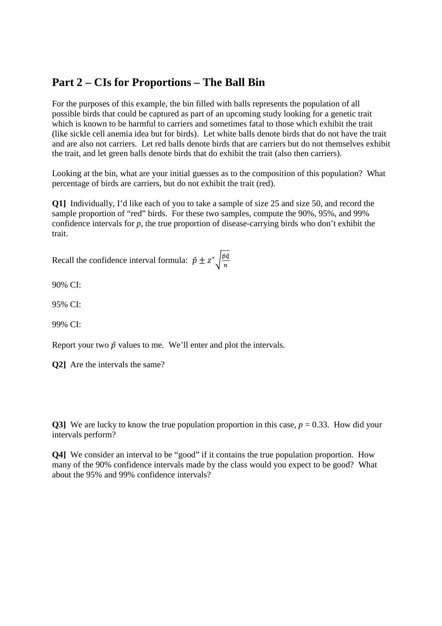### **Part 2 – CIs for Proportions – The Ball Bin**

For the purposes of this example, the bin filled with balls represents the population of all possible birds that could be captured as part of an upcoming study looking for a genetic trait which is known to be harmful to carriers and sometimes fatal to those which exhibit the trait (like sickle cell anemia idea but for birds). Let white balls denote birds that do not have the trait and are also not carriers. Let red balls denote birds that are carriers but do not themselves exhibit the trait, and let green balls denote birds that do exhibit the trait (also then carriers).

Looking at the bin, what are your initial guesses as to the composition of this population? What percentage of birds are carriers, but do not exhibit the trait (red).

**Q1]** Individually, I'd like each of you to take a sample of size 25 and size 50, and record the sample proportion of "red" birds. For these two samples, compute the 90%, 95%, and 99% confidence intervals for *p*, the true proportion of disease-carrying birds who don't exhibit the trait.

Recall the confidence interval formula:  $\hat{p} \pm z^* \sqrt{\frac{\hat{p}\hat{q}}{n}}$  $\boldsymbol{n}$ 

90% CI:

95% CI:

99% CI:

Report your two  $\hat{p}$  values to me. We'll enter and plot the intervals.

**Q2]** Are the intervals the same?

**Q3**] We are lucky to know the true population proportion in this case,  $p = 0.33$ . How did your intervals perform?

**Q4]** We consider an interval to be "good" if it contains the true population proportion. How many of the 90% confidence intervals made by the class would you expect to be good? What about the 95% and 99% confidence intervals?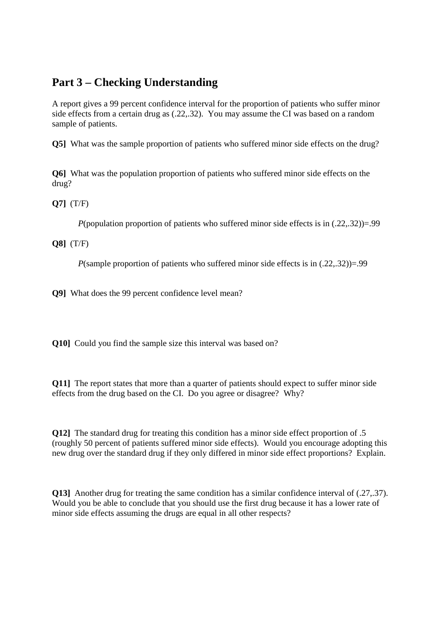## **Part 3 – Checking Understanding**

A report gives a 99 percent confidence interval for the proportion of patients who suffer minor side effects from a certain drug as (.22,.32). You may assume the CI was based on a random sample of patients.

**Q5]** What was the sample proportion of patients who suffered minor side effects on the drug?

**Q6]** What was the population proportion of patients who suffered minor side effects on the drug?

**Q7]** (T/F)

*P*(population proportion of patients who suffered minor side effects is in (.22,.32))=.99

**Q8]** (T/F)

*P*(sample proportion of patients who suffered minor side effects is in (.22,.32))=.99

**Q9]** What does the 99 percent confidence level mean?

**Q10]** Could you find the sample size this interval was based on?

**Q11]** The report states that more than a quarter of patients should expect to suffer minor side effects from the drug based on the CI. Do you agree or disagree? Why?

**Q12]** The standard drug for treating this condition has a minor side effect proportion of .5 (roughly 50 percent of patients suffered minor side effects). Would you encourage adopting this new drug over the standard drug if they only differed in minor side effect proportions? Explain.

**Q13** Another drug for treating the same condition has a similar confidence interval of (.27,.37). Would you be able to conclude that you should use the first drug because it has a lower rate of minor side effects assuming the drugs are equal in all other respects?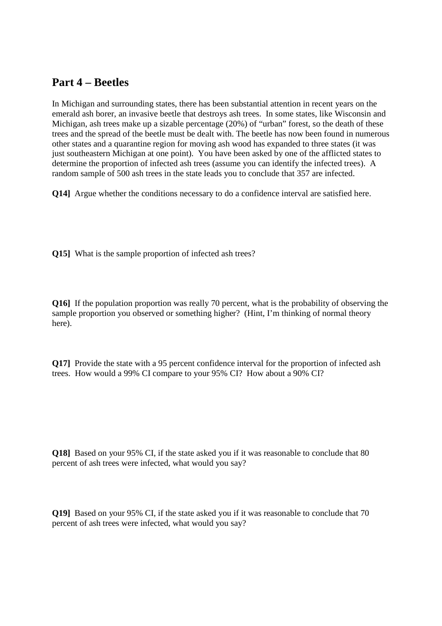#### **Part 4 – Beetles**

In Michigan and surrounding states, there has been substantial attention in recent years on the emerald ash borer, an invasive beetle that destroys ash trees. In some states, like Wisconsin and Michigan, ash trees make up a sizable percentage (20%) of "urban" forest, so the death of these trees and the spread of the beetle must be dealt with. The beetle has now been found in numerous other states and a quarantine region for moving ash wood has expanded to three states (it was just southeastern Michigan at one point). You have been asked by one of the afflicted states to determine the proportion of infected ash trees (assume you can identify the infected trees). A random sample of 500 ash trees in the state leads you to conclude that 357 are infected.

**Q14]** Argue whether the conditions necessary to do a confidence interval are satisfied here.

**Q15]** What is the sample proportion of infected ash trees?

**Q16]** If the population proportion was really 70 percent, what is the probability of observing the sample proportion you observed or something higher? (Hint, I'm thinking of normal theory here).

**Q17]** Provide the state with a 95 percent confidence interval for the proportion of infected ash trees. How would a 99% CI compare to your 95% CI? How about a 90% CI?

**Q18]** Based on your 95% CI, if the state asked you if it was reasonable to conclude that 80 percent of ash trees were infected, what would you say?

**Q19]** Based on your 95% CI, if the state asked you if it was reasonable to conclude that 70 percent of ash trees were infected, what would you say?